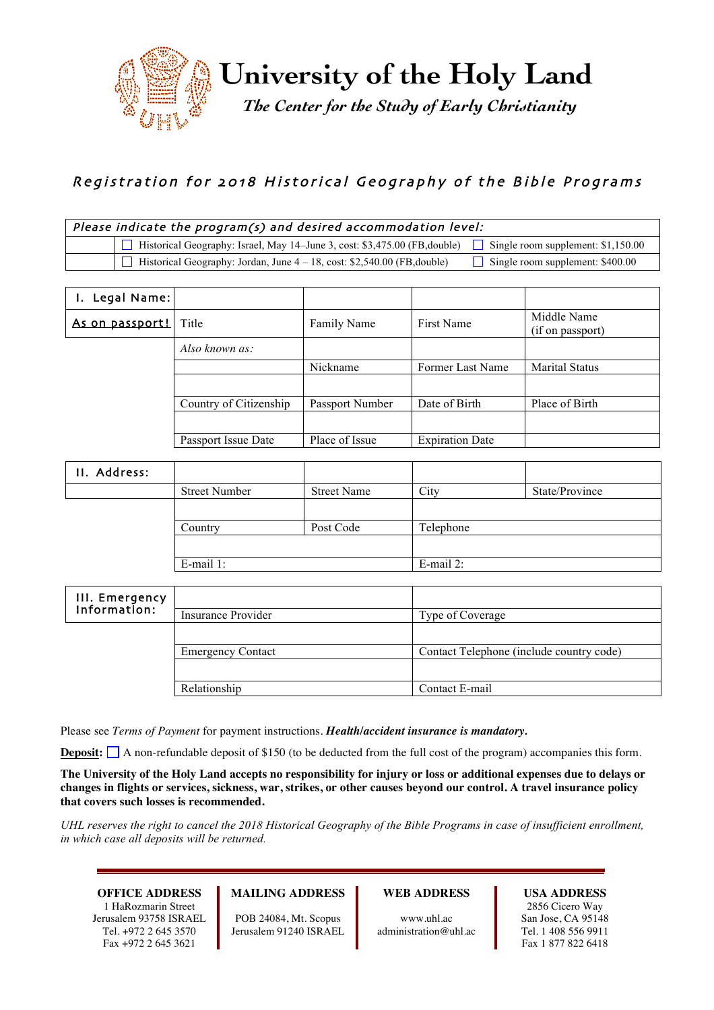

# Registration for 2018 Historical Geography of the Bible Programs

| Please indicate the program(s) and desired accommodation level: |                                                                                                                             |                                         |  |
|-----------------------------------------------------------------|-----------------------------------------------------------------------------------------------------------------------------|-----------------------------------------|--|
|                                                                 | $\Box$ Historical Geography: Israel, May 14–June 3, cost: \$3,475.00 (FB, double) $\Box$ Single room supplement: \$1,150.00 |                                         |  |
|                                                                 | $\Box$ Historical Geography: Jordan, June $4 - 18$ , cost: \$2,540.00 (FB, double)                                          | $\Box$ Single room supplement: \$400.00 |  |

| I. Legal Name:         |                        |                 |                        |                                 |
|------------------------|------------------------|-----------------|------------------------|---------------------------------|
| <u>As on passport!</u> | Title                  | Family Name     | First Name             | Middle Name<br>(if on passport) |
|                        | Also known as:         |                 |                        |                                 |
|                        |                        | Nickname        | Former Last Name       | <b>Marital Status</b>           |
|                        |                        |                 |                        |                                 |
|                        | Country of Citizenship | Passport Number | Date of Birth          | Place of Birth                  |
|                        |                        |                 |                        |                                 |
|                        | Passport Issue Date    | Place of Issue  | <b>Expiration Date</b> |                                 |

| II. Address: |                      |                    |              |                |
|--------------|----------------------|--------------------|--------------|----------------|
|              | <b>Street Number</b> | <b>Street Name</b> | City         | State/Province |
|              |                      |                    |              |                |
|              | Country              | Post Code          | Telephone    |                |
|              |                      |                    |              |                |
|              | $E$ -mail 1:         |                    | $E$ -mail 2: |                |

| III. Emergency |                          |                                          |
|----------------|--------------------------|------------------------------------------|
| Information:   | Insurance Provider       | Type of Coverage                         |
|                |                          |                                          |
|                | <b>Emergency Contact</b> | Contact Telephone (include country code) |
|                |                          |                                          |
|                | Relationship             | Contact E-mail                           |

Please see *Terms of Payment* for payment instructions. *Health/accident insurance is mandatory.*

**Deposit:**  $\Box$  A non-refundable deposit of \$150 (to be deducted from the full cost of the program) accompanies this form.

**The University of the Holy Land accepts no responsibility for injury or loss or additional expenses due to delays or changes in flights or services, sickness, war, strikes, or other causes beyond our control. A travel insurance policy that covers such losses is recommended.**

*UHL reserves the right to cancel the 2018 Historical Geography of the Bible Programs in case of insufficient enrollment, in which case all deposits will be returned.*

### **OFFICE ADDRESS**

1 HaRozmarin Street Jerusalem 93758 ISRAEL Tel. +972 2 645 3570 Fax +972 2 645 3621

#### **MAILING ADDRESS**

POB 24084, Mt. Scopus Jerusalem 91240 ISRAEL

#### **WEB ADDRESS**

www.uhl.ac administration@uhl.ac

#### **USA ADDRESS**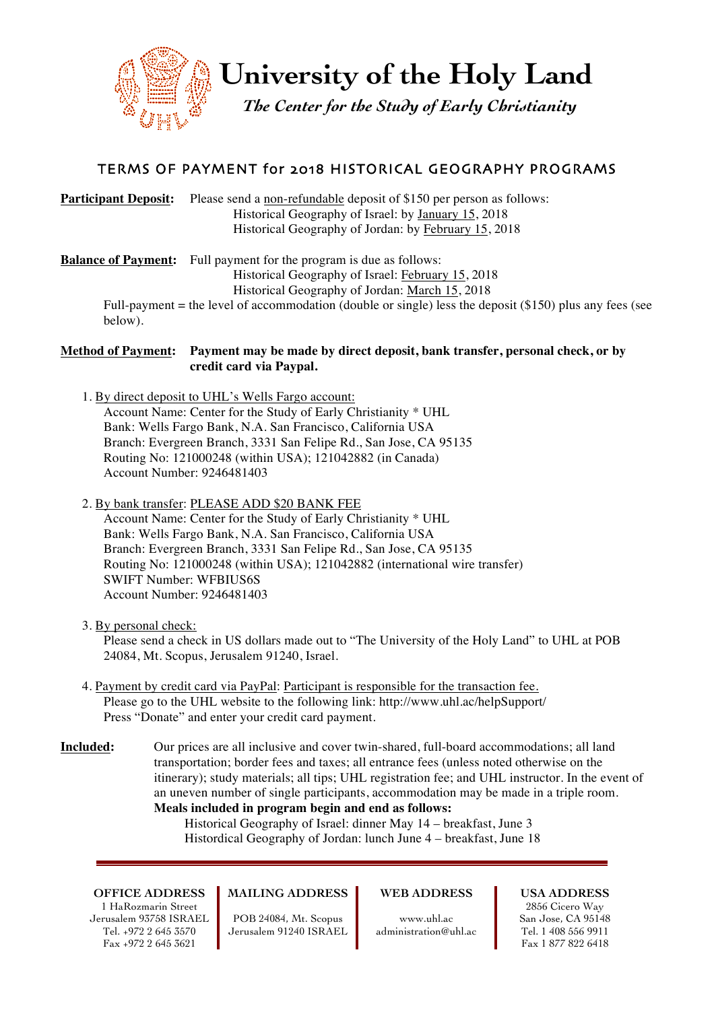

**University of the Holy Land**

*The Center for the Study of Early Christianity*

# TERMS OF PAYMENT for 2018 HISTORICAL GEOGRAPHY PROGRAMS

## **Participant Deposit:** Please send a non-refundable deposit of \$150 per person as follows: Historical Geography of Israel: by January 15, 2018 Historical Geography of Jordan: by February 15, 2018

**Balance of Payment:** Full payment for the program is due as follows: Historical Geography of Israel: February 15, 2018 Historical Geography of Jordan: March 15, 2018

Full-payment = the level of accommodation (double or single) less the deposit (\$150) plus any fees (see below).

### **Method of Payment: Payment may be made by direct deposit, bank transfer, personal check, or by credit card via Paypal.**

- 1. By direct deposit to UHL's Wells Fargo account: Account Name: Center for the Study of Early Christianity \* UHL Bank: Wells Fargo Bank, N.A. San Francisco, California USA Branch: Evergreen Branch, 3331 San Felipe Rd., San Jose, CA 95135 Routing No: 121000248 (within USA); 121042882 (in Canada) Account Number: 9246481403
- 2. By bank transfer: PLEASE ADD \$20 BANK FEE

Account Name: Center for the Study of Early Christianity \* UHL Bank: Wells Fargo Bank, N.A. San Francisco, California USA Branch: Evergreen Branch, 3331 San Felipe Rd., San Jose, CA 95135 Routing No: 121000248 (within USA); 121042882 (international wire transfer) SWIFT Number: WFBIUS6S Account Number: 9246481403

3. By personal check:

Please send a check in US dollars made out to "The University of the Holy Land" to UHL at POB 24084, Mt. Scopus, Jerusalem 91240, Israel.

- 4. Payment by credit card via PayPal: Participant is responsible for the transaction fee. Please go to the UHL website to the following link: http://www.uhl.ac/helpSupport/ Press "Donate" and enter your credit card payment.
- **Included:** Our prices are all inclusive and cover twin-shared, full-board accommodations; all land transportation; border fees and taxes; all entrance fees (unless noted otherwise on the itinerary); study materials; all tips; UHL registration fee; and UHL instructor. In the event of an uneven number of single participants, accommodation may be made in a triple room. **Meals included in program begin and end as follows:**

Historical Geography of Israel: dinner May 14 – breakfast, June 3 Histordical Geography of Jordan: lunch June 4 – breakfast, June 18

**OFFICE ADDRESS** 1 HaRozmarin Street Jerusalem 93758 ISRAEL Tel. +972 2 645 3570 Fax +972 2 645 3621

## **MAILING ADDRESS**

POB 24084, Mt. Scopus Jerusalem 91240 ISRAEL **WEB ADDRESS**

www.uhl.ac administration@uhl.ac **USA ADDRESS**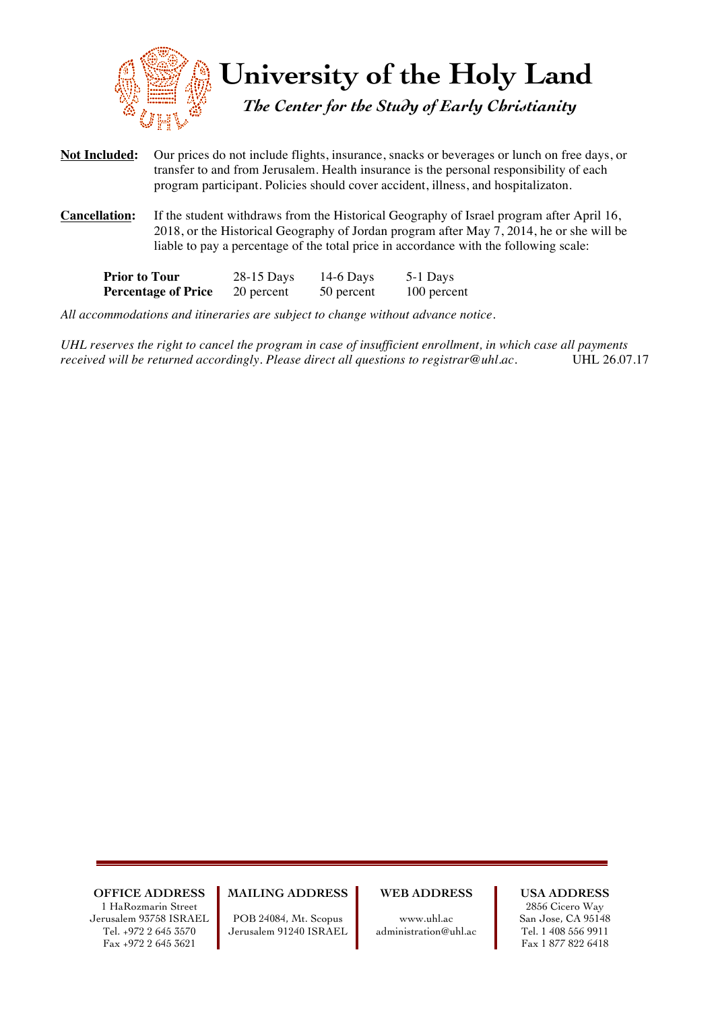

- **Not Included:** Our prices do not include flights, insurance, snacks or beverages or lunch on free days, or transfer to and from Jerusalem. Health insurance is the personal responsibility of each program participant. Policies should cover accident, illness, and hospitalizaton.
- **Cancellation:** If the student withdraws from the Historical Geography of Israel program after April 16, 2018, or the Historical Geography of Jordan program after May 7, 2014, he or she will be liable to pay a percentage of the total price in accordance with the following scale:

| <b>Prior to Tour</b>       | 28-15 Days | $14-6$ Days | 5-1 Days    |
|----------------------------|------------|-------------|-------------|
| <b>Percentage of Price</b> | 20 percent | 50 percent  | 100 percent |

*All accommodations and itineraries are subject to change without advance notice.* 

*UHL reserves the right to cancel the program in case of insufficient enrollment, in which case all payments received will be returned accordingly. Please direct all questions to registrar@uhl.ac.* UHL 26.07.17

**OFFICE ADDRESS** 1 HaRozmarin Street Jerusalem 93758 ISRAEL Tel. +972 2 645 3570 Fax +972 2 645 3621

**MAILING ADDRESS**

POB 24084, Mt. Scopus Jerusalem 91240 ISRAEL **WEB ADDRESS**

www.uhl.ac administration@uhl.ac **USA ADDRESS**